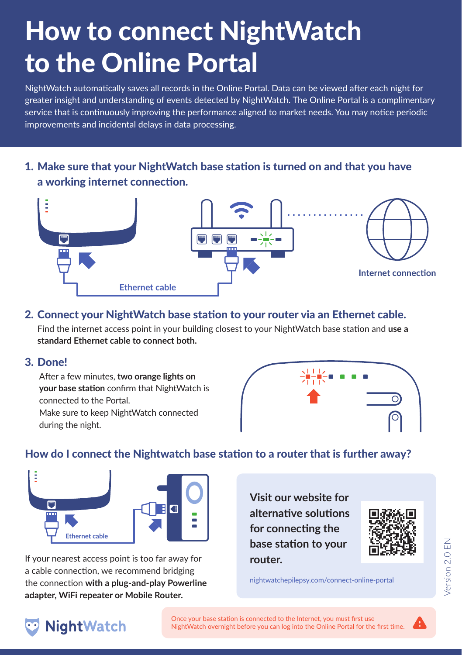# How to connect NightWatch to the Online Portal

NightWatch automatically saves all records in the Online Portal. Data can be viewed after each night for greater insight and understanding of events detected by NightWatch. The Online Portal is a complimentary service that is continuously improving the performance aligned to market needs. You may notice periodic improvements and incidental delays in data processing.

Make sure that your NightWatch base station is turned on and that you have 1. a working internet connection.



#### 2. Connect your NightWatch base station to your router via an Ethernet cable.

Find the internet access point in your building closest to your NightWatch base station and **use a standard Ethernet cable to connect both.**

3. Done!

After a few minutes, **two orange lights on your base station** confirm that NightWatch is connected to the Portal. Make sure to keep NightWatch connected during the night.



# How do I connect the Nightwatch base station to a router that is further away?



If your nearest access point is too far away for a cable connection, we recommend bridging the connection **with a plug-and-play Powerline adapter, WiFi repeater or Mobile Router.**

**Visit our website for alternative solutions for connecting the base station to your router.**



nightwatchepilepsy.com/connect-online-portal



Once your base station is connected to the Internet, you must first use NightWatch overnight before you can log into the Online Portal for the first time.